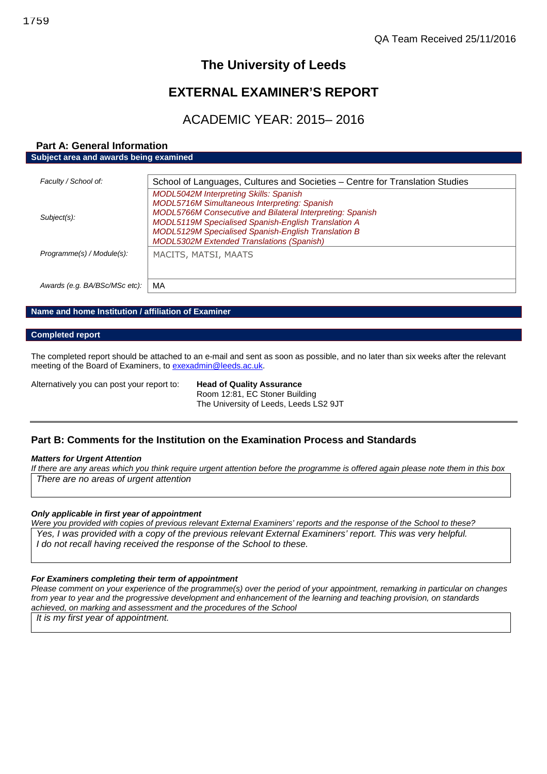# **The University of Leeds**

# **EXTERNAL EXAMINER'S REPORT**

# ACADEMIC YEAR: 2015– 2016

## **Part A: General Information Subject area and awards being examined**

| Faculty / School of:          | School of Languages, Cultures and Societies – Centre for Translation Studies                                                                                                                                                                                                                                                               |
|-------------------------------|--------------------------------------------------------------------------------------------------------------------------------------------------------------------------------------------------------------------------------------------------------------------------------------------------------------------------------------------|
| $Subject(s)$ :                | <b>MODL5042M Interpreting Skills: Spanish</b><br><b>MODL5716M Simultaneous Interpreting: Spanish</b><br>MODL5766M Consecutive and Bilateral Interpreting: Spanish<br>MODL5119M Specialised Spanish-English Translation A<br><b>MODL5129M Specialised Spanish-English Translation B</b><br><b>MODL5302M Extended Translations (Spanish)</b> |
| Programme(s) / Module(s):     | MACITS, MATSI, MAATS                                                                                                                                                                                                                                                                                                                       |
| Awards (e.g. BA/BSc/MSc etc): | МA                                                                                                                                                                                                                                                                                                                                         |

## **Name and home Institution / affiliation of Examiner**

#### **Completed report**

The completed report should be attached to an e-mail and sent as soon as possible, and no later than six weeks after the relevant meeting of the Board of Examiners, to [exexadmin@leeds.ac.uk.](mailto:exexadmin@leeds.ac.uk)

Alternatively you can post your report to: **Head of Quality Assurance**

Room 12:81, EC Stoner Building The University of Leeds, Leeds LS2 9JT

# **Part B: Comments for the Institution on the Examination Process and Standards**

#### *Matters for Urgent Attention*

*If there are any areas which you think require urgent attention before the programme is offered again please note them in this box There are no areas of urgent attention*

### *Only applicable in first year of appointment*

*Were you provided with copies of previous relevant External Examiners' reports and the response of the School to these? Yes, I was provided with a copy of the previous relevant External Examiners' report. This was very helpful. I do not recall having received the response of the School to these.*

### *For Examiners completing their term of appointment*

*Please comment on your experience of the programme(s) over the period of your appointment, remarking in particular on changes from year to year and the progressive development and enhancement of the learning and teaching provision, on standards achieved, on marking and assessment and the procedures of the School*

*It is my first year of appointment.*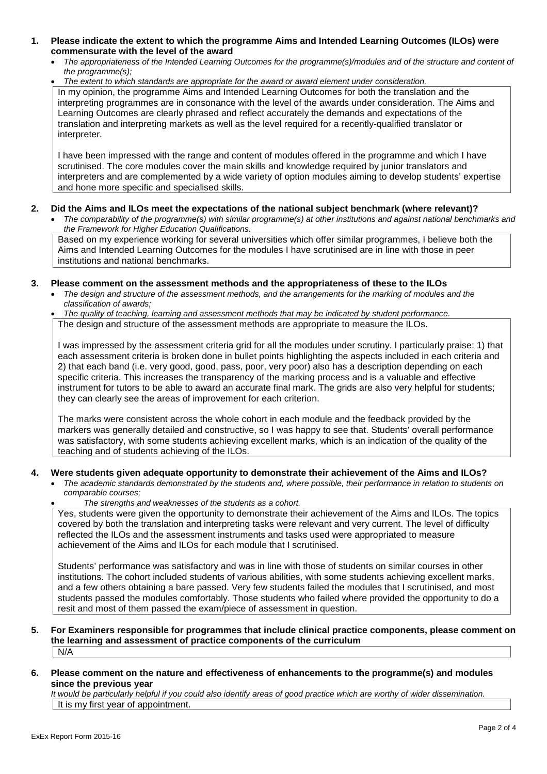- **1. Please indicate the extent to which the programme Aims and Intended Learning Outcomes (ILOs) were commensurate with the level of the award**
	- *The appropriateness of the Intended Learning Outcomes for the programme(s)/modules and of the structure and content of the programme(s);*
	- *The extent to which standards are appropriate for the award or award element under consideration.*

In my opinion, the programme Aims and Intended Learning Outcomes for both the translation and the interpreting programmes are in consonance with the level of the awards under consideration. The Aims and Learning Outcomes are clearly phrased and reflect accurately the demands and expectations of the translation and interpreting markets as well as the level required for a recently-qualified translator or interpreter.

I have been impressed with the range and content of modules offered in the programme and which I have scrutinised. The core modules cover the main skills and knowledge required by junior translators and interpreters and are complemented by a wide variety of option modules aiming to develop students' expertise and hone more specific and specialised skills.

## **2. Did the Aims and ILOs meet the expectations of the national subject benchmark (where relevant)?**

 *The comparability of the programme(s) with similar programme(s) at other institutions and against national benchmarks and the Framework for Higher Education Qualifications.*

Based on my experience working for several universities which offer similar programmes, I believe both the Aims and Intended Learning Outcomes for the modules I have scrutinised are in line with those in peer institutions and national benchmarks.

## **3. Please comment on the assessment methods and the appropriateness of these to the ILOs**

 *The design and structure of the assessment methods, and the arrangements for the marking of modules and the classification of awards;*

*The quality of teaching, learning and assessment methods that may be indicated by student performance.*

The design and structure of the assessment methods are appropriate to measure the ILOs.

I was impressed by the assessment criteria grid for all the modules under scrutiny. I particularly praise: 1) that each assessment criteria is broken done in bullet points highlighting the aspects included in each criteria and 2) that each band (i.e. very good, good, pass, poor, very poor) also has a description depending on each specific criteria. This increases the transparency of the marking process and is a valuable and effective instrument for tutors to be able to award an accurate final mark. The grids are also very helpful for students; they can clearly see the areas of improvement for each criterion.

The marks were consistent across the whole cohort in each module and the feedback provided by the markers was generally detailed and constructive, so I was happy to see that. Students' overall performance was satisfactory, with some students achieving excellent marks, which is an indication of the quality of the teaching and of students achieving of the ILOs.

## **4. Were students given adequate opportunity to demonstrate their achievement of the Aims and ILOs?**

- *The academic standards demonstrated by the students and, where possible, their performance in relation to students on comparable courses;*
	- *The strengths and weaknesses of the students as a cohort.*

Yes, students were given the opportunity to demonstrate their achievement of the Aims and ILOs. The topics covered by both the translation and interpreting tasks were relevant and very current. The level of difficulty reflected the ILOs and the assessment instruments and tasks used were appropriated to measure achievement of the Aims and ILOs for each module that I scrutinised.

Students' performance was satisfactory and was in line with those of students on similar courses in other institutions. The cohort included students of various abilities, with some students achieving excellent marks, and a few others obtaining a bare passed. Very few students failed the modules that I scrutinised, and most students passed the modules comfortably. Those students who failed where provided the opportunity to do a resit and most of them passed the exam/piece of assessment in question.

### **5. For Examiners responsible for programmes that include clinical practice components, please comment on the learning and assessment of practice components of the curriculum** N/A

## **6. Please comment on the nature and effectiveness of enhancements to the programme(s) and modules since the previous year**

*It would be particularly helpful if you could also identify areas of good practice which are worthy of wider dissemination.* It is my first year of appointment.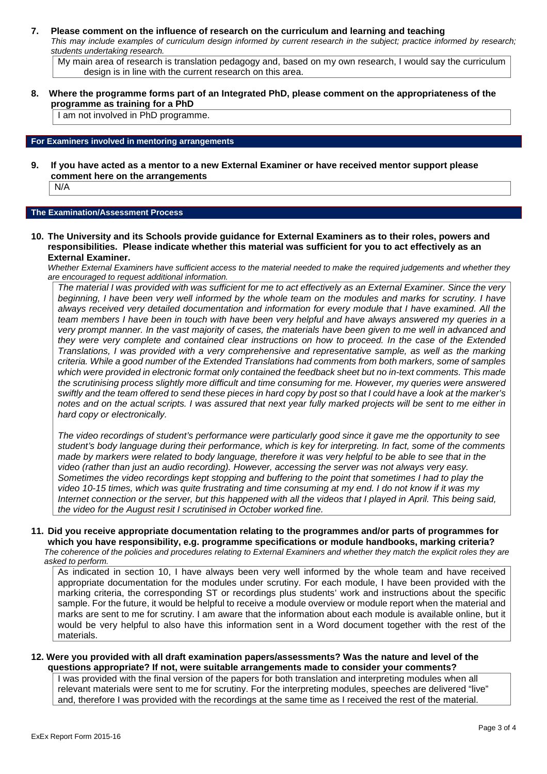**7. Please comment on the influence of research on the curriculum and learning and teaching**

*This may include examples of curriculum design informed by current research in the subject; practice informed by research; students undertaking research.*

My main area of research is translation pedagogy and, based on my own research, I would say the curriculum design is in line with the current research on this area.

**8. Where the programme forms part of an Integrated PhD, please comment on the appropriateness of the programme as training for a PhD**

I am not involved in PhD programme.

#### **For Examiners involved in mentoring arrangements**

**9. If you have acted as a mentor to a new External Examiner or have received mentor support please comment here on the arrangements**

N/A

#### **The Examination/Assessment Process**

**10. The University and its Schools provide guidance for External Examiners as to their roles, powers and responsibilities. Please indicate whether this material was sufficient for you to act effectively as an External Examiner.**

*Whether External Examiners have sufficient access to the material needed to make the required judgements and whether they are encouraged to request additional information.*

*The material I was provided with was sufficient for me to act effectively as an External Examiner. Since the very beginning, I have been very well informed by the whole team on the modules and marks for scrutiny. I have always received very detailed documentation and information for every module that I have examined. All the team members I have been in touch with have been very helpful and have always answered my queries in a very prompt manner. In the vast majority of cases, the materials have been given to me well in advanced and they were very complete and contained clear instructions on how to proceed. In the case of the Extended Translations, I was provided with a very comprehensive and representative sample, as well as the marking criteria. While a good number of the Extended Translations had comments from both markers, some of samples which were provided in electronic format only contained the feedback sheet but no in-text comments. This made the scrutinising process slightly more difficult and time consuming for me. However, my queries were answered swiftly and the team offered to send these pieces in hard copy by post so that I could have a look at the marker's notes and on the actual scripts. I was assured that next year fully marked projects will be sent to me either in hard copy or electronically.*

*The video recordings of student's performance were particularly good since it gave me the opportunity to see student's body language during their performance, which is key for interpreting. In fact, some of the comments made by markers were related to body language, therefore it was very helpful to be able to see that in the video (rather than just an audio recording). However, accessing the server was not always very easy. Sometimes the video recordings kept stopping and buffering to the point that sometimes I had to play the video 10-15 times, which was quite frustrating and time consuming at my end. I do not know if it was my Internet connection or the server, but this happened with all the videos that I played in April. This being said, the video for the August resit I scrutinised in October worked fine.*

### **11. Did you receive appropriate documentation relating to the programmes and/or parts of programmes for which you have responsibility, e.g. programme specifications or module handbooks, marking criteria?**

*The coherence of the policies and procedures relating to External Examiners and whether they match the explicit roles they are asked to perform.*

As indicated in section 10, I have always been very well informed by the whole team and have received appropriate documentation for the modules under scrutiny. For each module, I have been provided with the marking criteria, the corresponding ST or recordings plus students' work and instructions about the specific sample. For the future, it would be helpful to receive a module overview or module report when the material and marks are sent to me for scrutiny. I am aware that the information about each module is available online, but it would be very helpful to also have this information sent in a Word document together with the rest of the materials.

#### **12. Were you provided with all draft examination papers/assessments? Was the nature and level of the questions appropriate? If not, were suitable arrangements made to consider your comments?**

I was provided with the final version of the papers for both translation and interpreting modules when all relevant materials were sent to me for scrutiny. For the interpreting modules, speeches are delivered "live" and, therefore I was provided with the recordings at the same time as I received the rest of the material.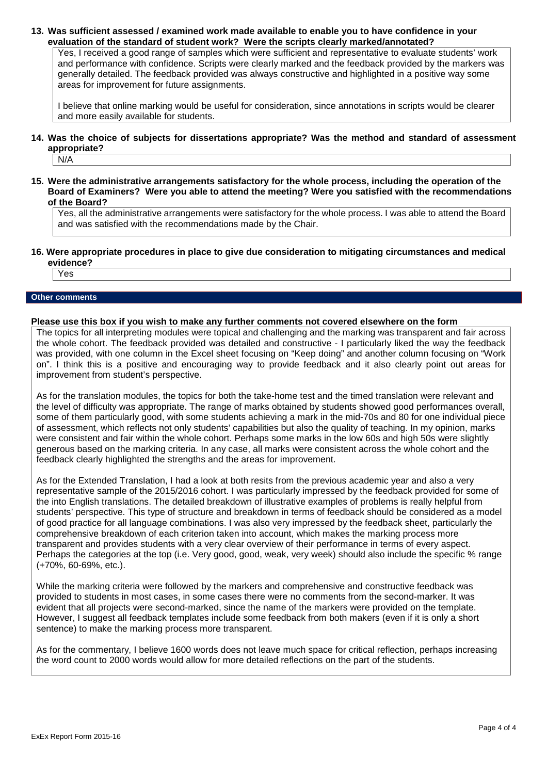### **13. Was sufficient assessed / examined work made available to enable you to have confidence in your evaluation of the standard of student work? Were the scripts clearly marked/annotated?**

Yes, I received a good range of samples which were sufficient and representative to evaluate students' work and performance with confidence. Scripts were clearly marked and the feedback provided by the markers was generally detailed. The feedback provided was always constructive and highlighted in a positive way some areas for improvement for future assignments.

I believe that online marking would be useful for consideration, since annotations in scripts would be clearer and more easily available for students.

**14. Was the choice of subjects for dissertations appropriate? Was the method and standard of assessment appropriate?**

N/A

**15. Were the administrative arrangements satisfactory for the whole process, including the operation of the Board of Examiners? Were you able to attend the meeting? Were you satisfied with the recommendations of the Board?**

Yes, all the administrative arrangements were satisfactory for the whole process. I was able to attend the Board and was satisfied with the recommendations made by the Chair.

### **16. Were appropriate procedures in place to give due consideration to mitigating circumstances and medical evidence?**

Yes

## **Other comments**

## **Please use this box if you wish to make any further comments not covered elsewhere on the form**

The topics for all interpreting modules were topical and challenging and the marking was transparent and fair across the whole cohort. The feedback provided was detailed and constructive - I particularly liked the way the feedback was provided, with one column in the Excel sheet focusing on "Keep doing" and another column focusing on "Work on". I think this is a positive and encouraging way to provide feedback and it also clearly point out areas for improvement from student's perspective.

As for the translation modules, the topics for both the take-home test and the timed translation were relevant and the level of difficulty was appropriate. The range of marks obtained by students showed good performances overall, some of them particularly good, with some students achieving a mark in the mid-70s and 80 for one individual piece of assessment, which reflects not only students' capabilities but also the quality of teaching. In my opinion, marks were consistent and fair within the whole cohort. Perhaps some marks in the low 60s and high 50s were slightly generous based on the marking criteria. In any case, all marks were consistent across the whole cohort and the feedback clearly highlighted the strengths and the areas for improvement.

As for the Extended Translation, I had a look at both resits from the previous academic year and also a very representative sample of the 2015/2016 cohort. I was particularly impressed by the feedback provided for some of the into English translations. The detailed breakdown of illustrative examples of problems is really helpful from students' perspective. This type of structure and breakdown in terms of feedback should be considered as a model of good practice for all language combinations. I was also very impressed by the feedback sheet, particularly the comprehensive breakdown of each criterion taken into account, which makes the marking process more transparent and provides students with a very clear overview of their performance in terms of every aspect. Perhaps the categories at the top (i.e. Very good, good, weak, very week) should also include the specific % range (+70%, 60-69%, etc.).

While the marking criteria were followed by the markers and comprehensive and constructive feedback was provided to students in most cases, in some cases there were no comments from the second-marker. It was evident that all projects were second-marked, since the name of the markers were provided on the template. However, I suggest all feedback templates include some feedback from both makers (even if it is only a short sentence) to make the marking process more transparent.

As for the commentary, I believe 1600 words does not leave much space for critical reflection, perhaps increasing the word count to 2000 words would allow for more detailed reflections on the part of the students.